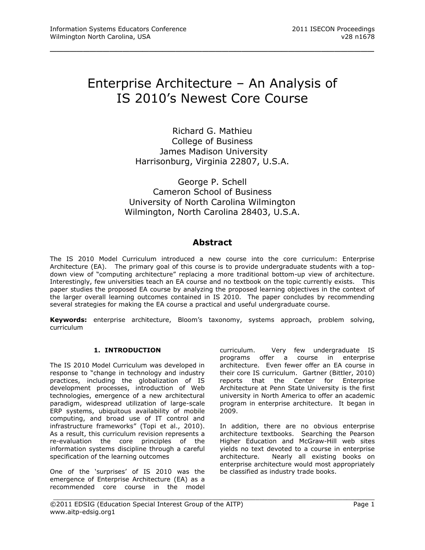# Enterprise Architecture – An Analysis of IS 2010's Newest Core Course

\_\_\_\_\_\_\_\_\_\_\_\_\_\_\_\_\_\_\_\_\_\_\_\_\_\_\_\_\_\_\_\_\_\_\_\_\_\_\_\_\_\_\_\_\_\_\_\_\_

Richard G. Mathieu College of Business James Madison University Harrisonburg, Virginia 22807, U.S.A.

George P. Schell Cameron School of Business University of North Carolina Wilmington Wilmington, North Carolina 28403, U.S.A.

# **Abstract**

The IS 2010 Model Curriculum introduced a new course into the core curriculum: Enterprise Architecture (EA). The primary goal of this course is to provide undergraduate students with a topdown view of "computing architecture" replacing a more traditional bottom-up view of architecture. Interestingly, few universities teach an EA course and no textbook on the topic currently exists. This paper studies the proposed EA course by analyzing the proposed learning objectives in the context of the larger overall learning outcomes contained in IS 2010. The paper concludes by recommending several strategies for making the EA course a practical and useful undergraduate course.

**Keywords:** enterprise architecture, Bloom's taxonomy, systems approach, problem solving, curriculum

\_\_\_\_\_\_\_\_\_\_\_\_\_\_\_\_\_\_\_\_\_\_\_\_\_\_\_\_\_\_\_\_\_\_\_\_\_\_\_\_\_\_\_\_\_\_\_\_\_\_\_\_\_\_\_\_\_\_\_\_\_\_\_\_\_\_\_\_\_\_\_\_\_\_\_\_\_\_\_\_\_

## **1. INTRODUCTION**

The IS 2010 Model Curriculum was developed in response to "change in technology and industry practices, including the globalization of IS development processes, introduction of Web technologies, emergence of a new architectural paradigm, widespread utilization of large-scale ERP systems, ubiquitous availability of mobile computing, and broad use of IT control and infrastructure frameworks" (Topi et al., 2010). As a result, this curriculum revision represents a re-evaluation the core principles of the information systems discipline through a careful specification of the learning outcomes

One of the 'surprises' of IS 2010 was the emergence of Enterprise Architecture (EA) as a recommended core course in the model

curriculum. Very few undergraduate IS programs offer a course in enterprise architecture. Even fewer offer an EA course in their core IS curriculum. Gartner (Bittler, 2010) reports that the Center for Enterprise Architecture at Penn State University is the first university in North America to offer an academic program in enterprise architecture. It began in 2009.

In addition, there are no obvious enterprise architecture textbooks. Searching the Pearson Higher Education and McGraw-Hill web sites yields no text devoted to a course in enterprise architecture. Nearly all existing books on enterprise architecture would most appropriately be classified as industry trade books.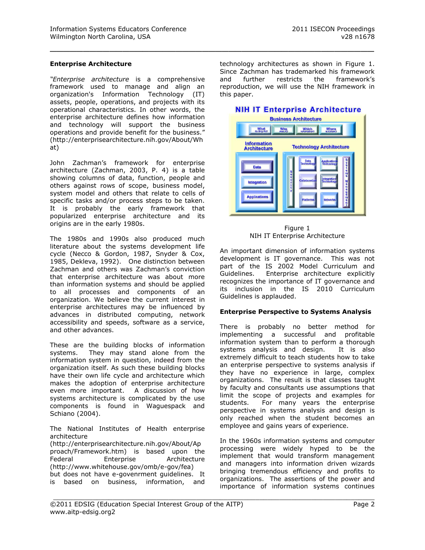#### **Enterprise Architecture**

*"Enterprise architecture* is a comprehensive framework used to manage and align an organization's Information Technology (IT) assets, people, operations, and projects with its operational characteristics. In other words, the enterprise architecture defines how information and technology will support the business operations and provide benefit for the business." (http://enterprisearchitecture.nih.gov/About/Wh at)

John Zachman's framework for enterprise architecture (Zachman, 2003, P. 4) is a table showing columns of data, function, people and others against rows of scope, business model, system model and others that relate to cells of specific tasks and/or process steps to be taken. It is probably the early framework that popularized enterprise architecture and its origins are in the early 1980s.

The 1980s and 1990s also produced much literature about the systems development life cycle (Necco & Gordon, 1987, Snyder & Cox, 1985, Dekleva, 1992). One distinction between Zachman and others was Zachman's conviction that enterprise architecture was about more than information systems and should be applied to all processes and components of an organization. We believe the current interest in enterprise architectures may be influenced by advances in distributed computing, network accessibility and speeds, software as a service, and other advances.

These are the building blocks of information systems. They may stand alone from the information system in question, indeed from the organization itself. As such these building blocks have their own life cycle and architecture which makes the adoption of enterprise architecture even more important. A discussion of how systems architecture is complicated by the use components is found in Waguespack and Schiano (2004).

The National Institutes of Health enterprise architecture (http://enterprisearchitecture.nih.gov/About/Ap proach/Framework.htm) is based upon the Federal Enterprise Architecture (http://www.whitehouse.gov/omb/e-gov/fea) but does not have e-govenrment guidelines. It is based on business, information, and

technology architectures as shown in Figure 1. Since Zachman has trademarked his framework and further restricts the framework's reproduction, we will use the NIH framework in this paper.

\_\_\_\_\_\_\_\_\_\_\_\_\_\_\_\_\_\_\_\_\_\_\_\_\_\_\_\_\_\_\_\_\_\_\_\_\_\_\_\_\_\_\_\_\_\_\_\_\_



Figure 1 NIH IT Enterprise Architecture

An important dimension of information systems development is IT governance. This was not part of the IS 2002 Model Curriculum and Guidelines. Enterprise architecture explicitly recognizes the importance of IT governance and its inclusion in the IS 2010 Curriculum Guidelines is applauded.

#### **Enterprise Perspective to Systems Analysis**

There is probably no better method for implementing a successful and profitable information system than to perform a thorough systems analysis and design. It is also extremely difficult to teach students how to take an enterprise perspective to systems analysis if they have no experience in large, complex organizations. The result is that classes taught by faculty and consultants use assumptions that limit the scope of projects and examples for students. For many years the enterprise perspective in systems analysis and design is only reached when the student becomes an employee and gains years of experience.

In the 1960s information systems and computer processing were widely hyped to be the implement that would transform management and managers into information driven wizards bringing tremendous efficiency and profits to organizations. The assertions of the power and importance of information systems continues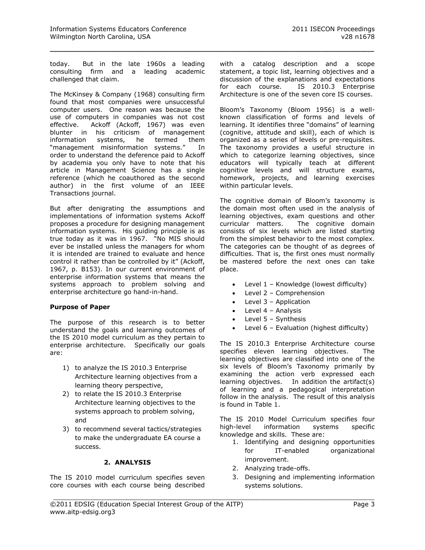today. But in the late 1960s a leading consulting firm and a leading academic challenged that claim.

\_\_\_\_\_\_\_\_\_\_\_\_\_\_\_\_\_\_\_\_\_\_\_\_\_\_\_\_\_\_\_\_\_\_\_\_\_\_\_\_\_\_\_\_\_\_\_\_\_

The McKinsey & Company (1968) consulting firm found that most companies were unsuccessful computer users. One reason was because the use of computers in companies was not cost effective. Ackoff (Ackoff, 1967) was even blunter in his criticism of management information systems, he termed them "management misinformation systems." In order to understand the deference paid to Ackoff by academia you only have to note that his article in Management Science has a single reference (which he coauthored as the second author) in the first volume of an IEEE Transactions journal.

But after denigrating the assumptions and implementations of information systems Ackoff proposes a procedure for designing management information systems. His guiding principle is as true today as it was in 1967. "No MIS should ever be installed unless the managers for whom it is intended are trained to evaluate and hence control it rather than be controlled by it" (Ackoff, 1967, p. B153). In our current environment of enterprise information systems that means the systems approach to problem solving and enterprise architecture go hand-in-hand.

#### **Purpose of Paper**

The purpose of this research is to better understand the goals and learning outcomes of the IS 2010 model curriculum as they pertain to enterprise architecture. Specifically our goals are:

- 1) to analyze the IS 2010.3 Enterprise Architecture learning objectives from a learning theory perspective,
- 2) to relate the IS 2010.3 Enterprise Architecture learning objectives to the systems approach to problem solving, and
- 3) to recommend several tactics/strategies to make the undergraduate EA course a success.

## **2. ANALYSIS**

The IS 2010 model curriculum specifies seven core courses with each course being described with a catalog description and a scope statement, a topic list, learning objectives and a discussion of the explanations and expectations for each course. IS 2010.3 Enterprise Architecture is one of the seven core IS courses.

Bloom's Taxonomy (Bloom 1956) is a wellknown classification of forms and levels of learning. It identifies three "domains" of learning (cognitive, attitude and skill), each of which is organized as a series of levels or pre-requisites. The taxonomy provides a useful structure in which to categorize learning objectives, since educators will typically teach at different cognitive levels and will structure exams, homework, projects, and learning exercises within particular levels.

The cognitive domain of Bloom's taxonomy is the domain most often used in the analysis of learning objectives, exam questions and other curricular matters. The cognitive domain consists of six levels which are listed starting from the simplest behavior to the most complex. The categories can be thought of as degrees of difficulties. That is, the first ones must normally be mastered before the next ones can take place.

- Level 1 Knowledge (lowest difficulty)
- Level 2 Comprehension
- Level 3 Application
- $\bullet$  Level 4 Analysis
- Level 5 Synthesis
- Level 6 Evaluation (highest difficulty)

The IS 2010.3 Enterprise Architecture course specifies eleven learning objectives. The learning objectives are classified into one of the six levels of Bloom's Taxonomy primarily by examining the action verb expressed each learning objectives. In addition the artifact(s) of learning and a pedagogical interpretation follow in the analysis. The result of this analysis is found in Table 1.

The IS 2010 Model Curriculum specifies four high-level information systems specific knowledge and skills. These are:

- 1. Identifying and designing opportunities for IT-enabled organizational improvement.
- 2. Analyzing trade-offs.

\_\_\_\_\_\_\_\_\_\_\_\_\_\_\_\_\_\_\_\_\_\_\_\_\_\_\_\_\_\_\_\_\_\_\_\_\_\_\_\_\_\_\_\_\_\_\_\_\_\_\_\_\_\_\_\_\_\_\_\_\_\_\_\_\_\_\_\_\_\_\_\_\_\_\_\_\_\_\_\_\_

3. Designing and implementing information systems solutions.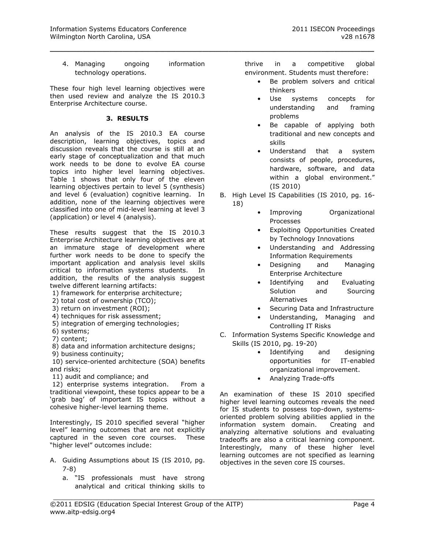4. Managing ongoing information technology operations.

\_\_\_\_\_\_\_\_\_\_\_\_\_\_\_\_\_\_\_\_\_\_\_\_\_\_\_\_\_\_\_\_\_\_\_\_\_\_\_\_\_\_\_\_\_\_\_\_\_

These four high level learning objectives were then used review and analyze the IS 2010.3 Enterprise Architecture course.

## **3. RESULTS**

An analysis of the IS 2010.3 EA course description, learning objectives, topics and discussion reveals that the course is still at an early stage of conceptualization and that much work needs to be done to evolve EA course topics into higher level learning objectives. Table 1 shows that only four of the eleven learning objectives pertain to level 5 (synthesis) and level 6 (evaluation) cognitive learning. In addition, none of the learning objectives were classified into one of mid-level learning at level 3 (application) or level 4 (analysis).

These results suggest that the IS 2010.3 Enterprise Architecture learning objectives are at an immature stage of development where further work needs to be done to specify the important application and analysis level skills critical to information systems students. In addition, the results of the analysis suggest twelve different learning artifacts:

- 1) framework for enterprise architecture;
- 2) total cost of ownership (TCO);
- 3) return on investment (ROI);
- 4) techniques for risk assessment;
- 5) integration of emerging technologies;
- 6) systems;
- 7) content;

8) data and information architecture designs;

9) business continuity;

10) service-oriented architecture (SOA) benefits and risks;

11) audit and compliance; and

12) enterprise systems integration. From a traditional viewpoint, these topics appear to be a 'grab bag' of important IS topics without a cohesive higher-level learning theme.

Interestingly, IS 2010 specified several "higher level" learning outcomes that are not explicitly captured in the seven core courses. These "higher level" outcomes include:

- A. Guiding Assumptions about IS (IS 2010, pg. 7-8)
	- a. "IS professionals must have strong analytical and critical thinking skills to

thrive in a competitive global environment. Students must therefore:

- Be problem solvers and critical thinkers
- Use systems concepts for understanding and framing problems
- Be capable of applying both traditional and new concepts and skills
- Understand that a system consists of people, procedures, hardware, software, and data within a global environment." (IS 2010)
- B. High Level IS Capabilities (IS 2010, pg. 16- 18)
	- Improving Organizational Processes
	- Exploiting Opportunities Created by Technology Innovations
	- Understanding and Addressing Information Requirements
	- Designing and Managing Enterprise Architecture
	- Identifying and Evaluating Solution and Sourcing Alternatives
	- Securing Data and Infrastructure
	- Understanding, Managing and Controlling IT Risks
- C. Information Systems Specific Knowledge and Skills (IS 2010, pg. 19-20)
	- Identifying and designing opportunities for IT-enabled organizational improvement.
	- Analyzing Trade-offs

An examination of these IS 2010 specified higher level learning outcomes reveals the need for IS students to possess top-down, systemsoriented problem solving abilities applied in the information system domain. Creating and analyzing alternative solutions and evaluating tradeoffs are also a critical learning component. Interestingly, many of these higher level learning outcomes are not specified as learning objectives in the seven core IS courses.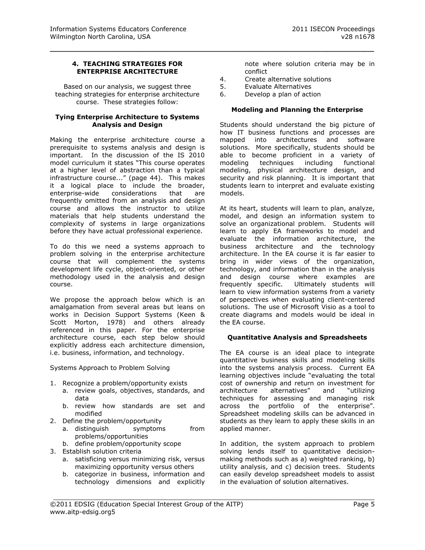## **4. TEACHING STRATEGIES FOR ENTERPRISE ARCHITECTURE**

Based on our analysis, we suggest three teaching strategies for enterprise architecture course. These strategies follow:

#### **Tying Enterprise Architecture to Systems Analysis and Design**

Making the enterprise architecture course a prerequisite to systems analysis and design is important. In the discussion of the IS 2010 model curriculum it states "This course operates at a higher level of abstraction than a typical infrastructure course..." (page 44). This makes it a logical place to include the broader, enterprise-wide considerations that are frequently omitted from an analysis and design course and allows the instructor to utilize materials that help students understand the complexity of systems in large organizations before they have actual professional experience.

To do this we need a systems approach to problem solving in the enterprise architecture course that will complement the systems development life cycle, object-oriented, or other methodology used in the analysis and design course.

We propose the approach below which is an amalgamation from several areas but leans on works in Decision Support Systems (Keen & Scott Morton, 1978) and others already referenced in this paper. For the enterprise architecture course, each step below should explicitly address each architecture dimension, i.e. business, information, and technology.

Systems Approach to Problem Solving

- 1. Recognize a problem/opportunity exists
	- a. review goals, objectives, standards, and data
	- b. review how standards are set and modified
- 2. Define the problem/opportunity
	- a. distinguish symptoms from problems/opportunities
	- b. define problem/opportunity scope
- 3. Establish solution criteria
	- a. satisficing versus minimizing risk, versus maximizing opportunity versus others
	- b. categorize in business, information and technology dimensions and explicitly

note where solution criteria may be in conflict

- 4. Create alternative solutions
- 5. Evaluate Alternatives

\_\_\_\_\_\_\_\_\_\_\_\_\_\_\_\_\_\_\_\_\_\_\_\_\_\_\_\_\_\_\_\_\_\_\_\_\_\_\_\_\_\_\_\_\_\_\_\_\_

6. Develop a plan of action

#### **Modeling and Planning the Enterprise**

Students should understand the big picture of how IT business functions and processes are mapped into architectures and software solutions. More specifically, students should be able to become proficient in a variety of modeling techniques including functional modeling, physical architecture design, and security and risk planning. It is important that students learn to interpret and evaluate existing models.

At its heart, students will learn to plan, analyze, model, and design an information system to solve an organizational problem. Students will learn to apply EA frameworks to model and evaluate the information architecture, the business architecture and the technology architecture. In the EA course it is far easier to bring in wider views of the organization, technology, and information than in the analysis and design course where examples are frequently specific. Ultimately students will learn to view information systems from a variety of perspectives when evaluating client-centered solutions. The use of Microsoft Visio as a tool to create diagrams and models would be ideal in the EA course.

#### **Quantitative Analysis and Spreadsheets**

The EA course is an ideal place to integrate quantitative business skills and modeling skills into the systems analysis process. Current EA learning objectives include "evaluating the total cost of ownership and return on investment for architecture alternatives" and "utilizing techniques for assessing and managing risk across the portfolio of the enterprise". Spreadsheet modeling skills can be advanced in students as they learn to apply these skills in an applied manner.

In addition, the system approach to problem solving lends itself to quantitative decisionmaking methods such as a) weighted ranking, b) utility analysis, and c) decision trees. Students can easily develop spreadsheet models to assist in the evaluation of solution alternatives.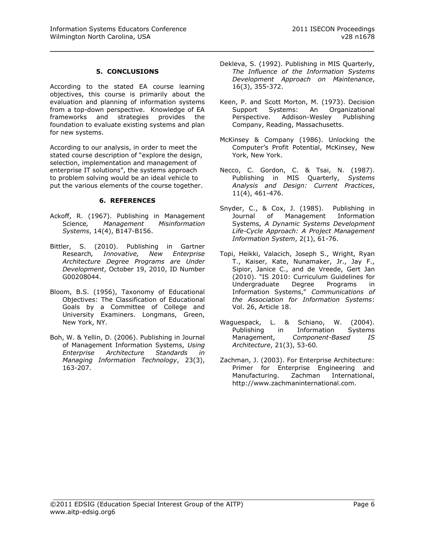#### **5. CONCLUSIONS**

\_\_\_\_\_\_\_\_\_\_\_\_\_\_\_\_\_\_\_\_\_\_\_\_\_\_\_\_\_\_\_\_\_\_\_\_\_\_\_\_\_\_\_\_\_\_\_\_\_

According to the stated EA course learning objectives, this course is primarily about the evaluation and planning of information systems from a top-down perspective. Knowledge of EA frameworks and strategies provides the foundation to evaluate existing systems and plan for new systems.

According to our analysis, in order to meet the stated course description of "explore the design, selection, implementation and management of enterprise IT solutions", the systems approach to problem solving would be an ideal vehicle to put the various elements of the course together.

#### **6. REFERENCES**

- Ackoff, R. (1967). Publishing in Management Science*, Management Misinformation Systems*, 14(4), B147-B156.
- Bittler, S. (2010). Publishing in Gartner Research*, Innovative, New Enterprise Architecture Degree Programs are Under Development*, October 19, 2010, ID Number G00208044.
- Bloom, B.S. (1956), Taxonomy of Educational Objectives: The Classification of Educational Goals by a Committee of College and University Examiners. Longmans, Green, New York, NY.
- Boh, W. & Yellin, D. (2006). Publishing in Journal of Management Information Systems, *Using Enterprise Architecture Standards in Managing Information Technology*, 23(3), 163-207.
- Dekleva, S. (1992). Publishing in MIS Quarterly, *The Influence of the Information Systems Development Approach on Maintenance*, 16(3), 355-372.
- Keen, P. and Scott Morton, M. (1973). Decision Support Systems: An Organizational Perspective. Addison-Wesley Publishing Company, Reading, Massachusetts.
- McKinsey & Company (1986). Unlocking the Computer's Profit Potential, McKinsey, New York, New York.
- Necco, C. Gordon, C. & Tsai, N. (1987). Publishing in MIS Quarterly, *Systems Analysis and Design: Current Practices*, 11(4), 461-476.
- Snyder, C., & Cox, J. (1985). Publishing in Journal of Management Information Systems, *A Dynamic Systems Development Life-Cycle Approach: A Project Management Information System*, 2(1), 61-76.
- Topi, Heikki, Valacich, Joseph S., Wright, Ryan T., Kaiser, Kate, Nunamaker, Jr., Jay F., Sipior, Janice C., and de Vreede, Gert Jan (2010). "IS 2010: Curriculum Guidelines for Undergraduate Degree Programs in Information Systems," *Communications of the Association for Information Systems*: Vol. 26, Article 18.
- Waguespack, L. & Schiano, W. (2004). Publishing in Information Systems Management, *Component-Based IS Architecture*, 21(3), 53-60.
- Zachman, J. (2003). For Enterprise Architecture: Primer for Enterprise Engineering and Manufacturing. Zachman International, http://www.zachmaninternational.com.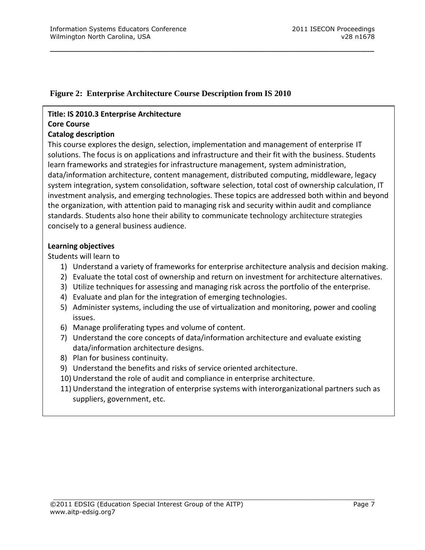# **Figure 2: Enterprise Architecture Course Description from IS 2010**

## **Title: IS 2010.3 Enterprise Architecture Core Course**

# **Catalog description**

This course explores the design, selection, implementation and management of enterprise IT solutions. The focus is on applications and infrastructure and their fit with the business. Students learn frameworks and strategies for infrastructure management, system administration, data/information architecture, content management, distributed computing, middleware, legacy system integration, system consolidation, software selection, total cost of ownership calculation, IT investment analysis, and emerging technologies. These topics are addressed both within and beyond the organization, with attention paid to managing risk and security within audit and compliance standards. Students also hone their ability to communicate technology architecture strategies concisely to a general business audience.

\_\_\_\_\_\_\_\_\_\_\_\_\_\_\_\_\_\_\_\_\_\_\_\_\_\_\_\_\_\_\_\_\_\_\_\_\_\_\_\_\_\_\_\_\_\_\_\_\_

# **Learning objectives**

Students will learn to

- 1) Understand a variety of frameworks for enterprise architecture analysis and decision making.
- 2) Evaluate the total cost of ownership and return on investment for architecture alternatives.
- 3) Utilize techniques for assessing and managing risk across the portfolio of the enterprise.
- 4) Evaluate and plan for the integration of emerging technologies.
- 5) Administer systems, including the use of virtualization and monitoring, power and cooling issues.
- 6) Manage proliferating types and volume of content.
- 7) Understand the core concepts of data/information architecture and evaluate existing data/information architecture designs.
- 8) Plan for business continuity.
- 9) Understand the benefits and risks of service oriented architecture.
- 10) Understand the role of audit and compliance in enterprise architecture.
- 11) Understand the integration of enterprise systems with interorganizational partners such as suppliers, government, etc.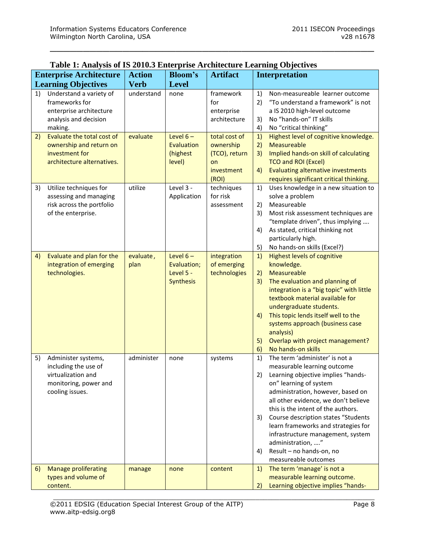\_\_\_\_\_\_\_\_\_\_\_\_\_\_\_\_\_\_\_\_\_\_\_\_\_\_\_\_\_\_\_\_\_\_\_\_\_\_\_\_\_\_\_\_\_\_\_\_\_

| <b>Enterprise Architecture</b> |                                                                                                               | <b>Action</b>     | <b>Bloom's</b>                                             | <b>Artifact</b>                                                          | <b>Interpretation</b>            |                                                                                                                                                                                                                                                                                                                                                                                                                                              |
|--------------------------------|---------------------------------------------------------------------------------------------------------------|-------------------|------------------------------------------------------------|--------------------------------------------------------------------------|----------------------------------|----------------------------------------------------------------------------------------------------------------------------------------------------------------------------------------------------------------------------------------------------------------------------------------------------------------------------------------------------------------------------------------------------------------------------------------------|
| <b>Learning Objectives</b>     |                                                                                                               | <b>Verb</b>       | <b>Level</b>                                               |                                                                          |                                  |                                                                                                                                                                                                                                                                                                                                                                                                                                              |
| 1)                             | Understand a variety of<br>frameworks for<br>enterprise architecture<br>analysis and decision<br>making.      | understand        | none                                                       | framework<br>for<br>enterprise<br>architecture                           | 1)<br>2)<br>3)<br>4)             | Non-measureable learner outcome<br>"To understand a framework" is not<br>a IS 2010 high-level outcome<br>No "hands-on" IT skills<br>No "critical thinking"                                                                                                                                                                                                                                                                                   |
| 2)                             | Evaluate the total cost of<br>ownership and return on<br>investment for<br>architecture alternatives.         | evaluate          | Level $6-$<br>Evaluation<br>(highest<br>level)             | total cost of<br>ownership<br>(TCO), return<br>on<br>investment<br>(ROI) | 1)<br>2)<br>3)<br>4)             | Highest level of cognitive knowledge.<br>Measureable<br>Implied hands-on skill of calculating<br><b>TCO and ROI (Excel)</b><br>Evaluating alternative investments<br>requires significant critical thinking.                                                                                                                                                                                                                                 |
| 3)                             | Utilize techniques for<br>assessing and managing<br>risk across the portfolio<br>of the enterprise.           | utilize           | Level 3 -<br>Application                                   | techniques<br>for risk<br>assessment                                     | 1)<br>2)<br>3)<br>4)<br>5)       | Uses knowledge in a new situation to<br>solve a problem<br>Measureable<br>Most risk assessment techniques are<br>"template driven", thus implying<br>As stated, critical thinking not<br>particularly high.<br>No hands-on skills (Excel?)                                                                                                                                                                                                   |
| 4)                             | Evaluate and plan for the<br>integration of emerging<br>technologies.                                         | evaluate,<br>plan | Level $6-$<br>Evaluation;<br>Level 5 -<br><b>Synthesis</b> | integration<br>of emerging<br>technologies                               | 1)<br>2)<br>3)<br>4)<br>5)<br>6) | <b>Highest levels of cognitive</b><br>knowledge.<br>Measureable<br>The evaluation and planning of<br>integration is a "big topic" with little<br>textbook material available for<br>undergraduate students.<br>This topic lends itself well to the<br>systems approach (business case<br>analysis)<br>Overlap with project management?<br>No hands-on skills                                                                                 |
| 5)                             | Administer systems,<br>including the use of<br>virtualization and<br>monitoring, power and<br>cooling issues. | administer        | none                                                       | systems                                                                  | 1)<br>2)<br>3)<br>4)             | The term 'administer' is not a<br>measurable learning outcome<br>Learning objective implies "hands-<br>on" learning of system<br>administration, however, based on<br>all other evidence, we don't believe<br>this is the intent of the authors.<br>Course description states "Students<br>learn frameworks and strategies for<br>infrastructure management, system<br>administration, "<br>Result - no hands-on, no<br>measureable outcomes |
| 6)                             | <b>Manage proliferating</b><br>types and volume of<br>content.                                                | manage            | none                                                       | content                                                                  | 1)<br>2)                         | The term 'manage' is not a<br>measurable learning outcome.<br>Learning objective implies "hands-                                                                                                                                                                                                                                                                                                                                             |